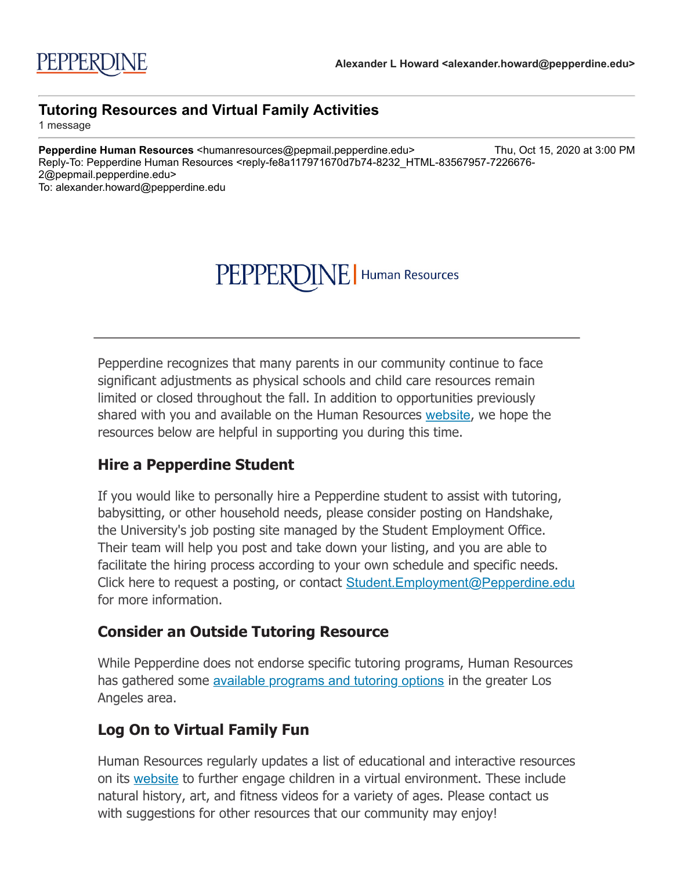# PEPPERDINE | Human Resources

Pepperdine recognizes that many parents in our community continue to face significant adjustments as physical schools and child care resources remain limited or closed throughout the fall. In addition to opportunities previously shared with you and available on the Human Resources [website](http://click.pepmail.pepperdine.edu/?qs=9213fe372e6fd591649d84d717fc3d6858d3826f0900dbcf3290a7ccc8537beb585b6365dd75a212dccd5d202fa4818dff9710cc090bec0c), we hope the resources below are helpful in supporting you during this time.

#### **Hire a Pepperdine Student**

If you would like to personally hire a Pepperdine student to assist with tutoring, babysitting, or other household needs, please consider posting on Handshake, the University's job posting site managed by the Student Employment Office. Their team will help you post and take down your listing, and you are able to facilitate the hiring process according to your own schedule and specific needs. Click here to request a posting, or contact Student. Employment@Pepperdine.edu for more information.

### **Consider an Outside Tutoring Resource**

While Pepperdine does not endorse specific tutoring programs, Human Resources has gathered some [available programs and tutoring options](http://click.pepmail.pepperdine.edu/?qs=9213fe372e6fd591824efaff46a494c9ab51161863d5d4287a31981d34c97ef305a65b7040adf70a104e0e48b02ca593716d9266c7ef9348) in the greater Los Angeles area.

## **Log On to Virtual Family Fun**

Human Resources regularly updates a list of educational and interactive resources on its [website](http://click.pepmail.pepperdine.edu/?qs=9213fe372e6fd591649d84d717fc3d6858d3826f0900dbcf3290a7ccc8537beb585b6365dd75a212dccd5d202fa4818dff9710cc090bec0c) to further engage children in a virtual environment. These include natural history, art, and fitness videos for a variety of ages. Please contact us with suggestions for other resources that our community may enjoy!